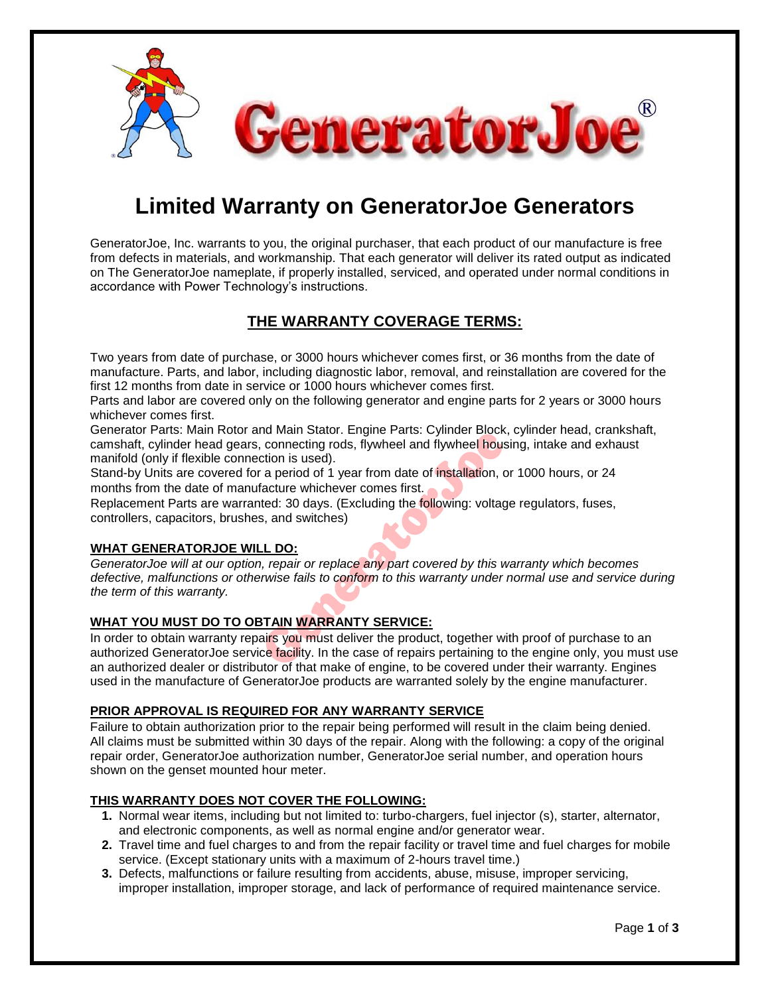

# **Limited Warranty on GeneratorJoe Generators**

GeneratorJoe, Inc. warrants to you, the original purchaser, that each product of our manufacture is free from defects in materials, and workmanship. That each generator will deliver its rated output as indicated on The GeneratorJoe nameplate, if properly installed, serviced, and operated under normal conditions in accordance with Power Technology's instructions.

### **THE WARRANTY COVERAGE TERMS:**

Two years from date of purchase, or 3000 hours whichever comes first, or 36 months from the date of manufacture. Parts, and labor, including diagnostic labor, removal, and reinstallation are covered for the first 12 months from date in service or 1000 hours whichever comes first.

Parts and labor are covered only on the following generator and engine parts for 2 years or 3000 hours whichever comes first.

Generator Parts: Main Rotor and Main Stator. Engine Parts: Cylinder Block, cylinder head, crankshaft, camshaft, cylinder head gears, connecting rods, flywheel and flywheel housing, intake and exhaust manifold (only if flexible connection is used).

Stand-by Units are covered for a period of 1 year from date of installation, or 1000 hours, or 24 months from the date of manufacture whichever comes first.

Replacement Parts are warranted: 30 days. (Excluding the following: voltage regulators, fuses, controllers, capacitors, brushes, and switches)

#### **WHAT GENERATORJOE WILL DO:**

*GeneratorJoe will at our option, repair or replace any part covered by this warranty which becomes defective, malfunctions or otherwise fails to conform to this warranty under normal use and service during the term of this warranty.* 

#### **WHAT YOU MUST DO TO OBTAIN WARRANTY SERVICE:**

In order to obtain warranty repairs you must deliver the product, together with proof of purchase to an authorized GeneratorJoe service facility. In the case of repairs pertaining to the engine only, you must use an authorized dealer or distributor of that make of engine, to be covered under their warranty. Engines used in the manufacture of GeneratorJoe products are warranted solely by the engine manufacturer.

#### **PRIOR APPROVAL IS REQUIRED FOR ANY WARRANTY SERVICE**

Failure to obtain authorization prior to the repair being performed will result in the claim being denied. All claims must be submitted within 30 days of the repair. Along with the following: a copy of the original repair order, GeneratorJoe authorization number, GeneratorJoe serial number, and operation hours shown on the genset mounted hour meter.

#### **THIS WARRANTY DOES NOT COVER THE FOLLOWING:**

- **1.** Normal wear items, including but not limited to: turbo-chargers, fuel injector (s), starter, alternator, and electronic components, as well as normal engine and/or generator wear.
- **2.** Travel time and fuel charges to and from the repair facility or travel time and fuel charges for mobile service. (Except stationary units with a maximum of 2-hours travel time.)
- **3.** Defects, malfunctions or failure resulting from accidents, abuse, misuse, improper servicing, improper installation, improper storage, and lack of performance of required maintenance service.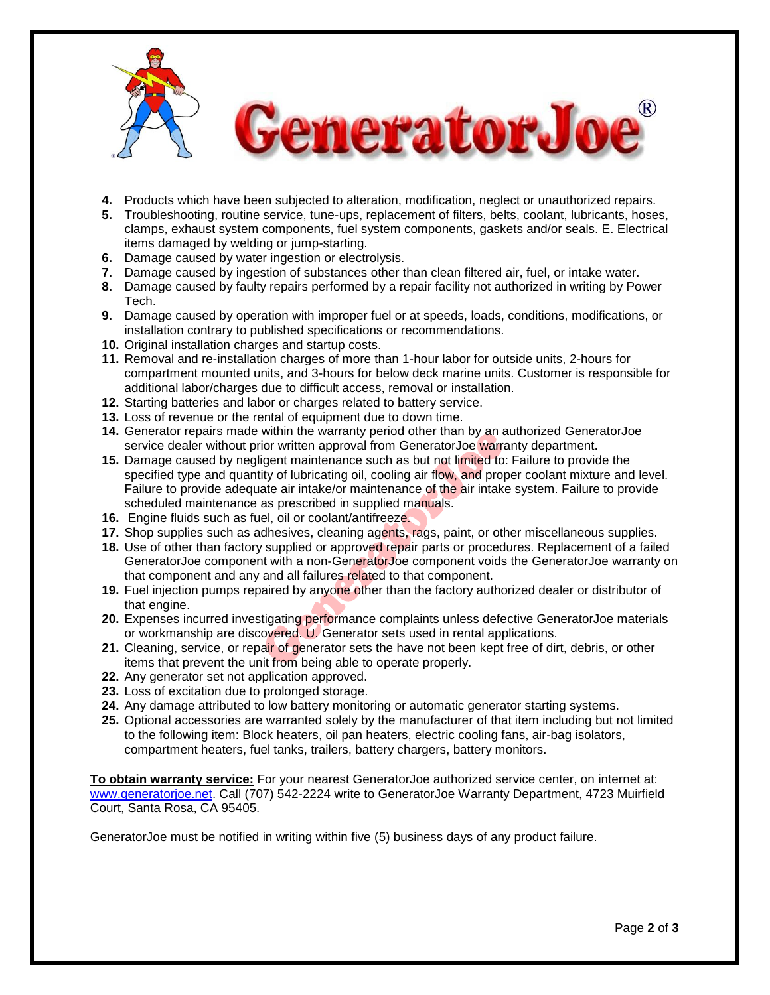

- **4.** Products which have been subjected to alteration, modification, neglect or unauthorized repairs.
- **5.** Troubleshooting, routine service, tune-ups, replacement of filters, belts, coolant, lubricants, hoses, clamps, exhaust system components, fuel system components, gaskets and/or seals. E. Electrical items damaged by welding or jump-starting.
- **6.** Damage caused by water ingestion or electrolysis.
- **7.** Damage caused by ingestion of substances other than clean filtered air, fuel, or intake water.
- **8.** Damage caused by faulty repairs performed by a repair facility not authorized in writing by Power Tech.
- **9.** Damage caused by operation with improper fuel or at speeds, loads, conditions, modifications, or installation contrary to published specifications or recommendations.
- **10.** Original installation charges and startup costs.
- **11.** Removal and re-installation charges of more than 1-hour labor for outside units, 2-hours for compartment mounted units, and 3-hours for below deck marine units. Customer is responsible for additional labor/charges due to difficult access, removal or installation.
- **12.** Starting batteries and labor or charges related to battery service.
- **13.** Loss of revenue or the rental of equipment due to down time.
- **14.** Generator repairs made within the warranty period other than by an authorized GeneratorJoe service dealer without prior written approval from GeneratorJoe warranty department.
- **15.** Damage caused by negligent maintenance such as but not limited to: Failure to provide the specified type and quantity of lubricating oil, cooling air flow, and proper coolant mixture and level. Failure to provide adequate air intake/or maintenance of the air intake system. Failure to provide scheduled maintenance as prescribed in supplied manuals.
- **16.** Engine fluids such as fuel, oil or coolant/antifreeze.
- 17. Shop supplies such as adhesives, cleaning agents, rags, paint, or other miscellaneous supplies.
- **18.** Use of other than factory supplied or approved repair parts or procedures. Replacement of a failed GeneratorJoe component with a non-GeneratorJoe component voids the GeneratorJoe warranty on that component and any and all failures related to that component.
- **19.** Fuel injection pumps repaired by anyone other than the factory authorized dealer or distributor of that engine.
- **20.** Expenses incurred investigating performance complaints unless defective GeneratorJoe materials or workmanship are discovered. U. Generator sets used in rental applications.
- **21.** Cleaning, service, or repair of generator sets the have not been kept free of dirt, debris, or other items that prevent the unit from being able to operate properly.
- **22.** Any generator set not application approved.
- **23.** Loss of excitation due to prolonged storage.
- **24.** Any damage attributed to low battery monitoring or automatic generator starting systems.
- **25.** Optional accessories are warranted solely by the manufacturer of that item including but not limited to the following item: Block heaters, oil pan heaters, electric cooling fans, air-bag isolators, compartment heaters, fuel tanks, trailers, battery chargers, battery monitors.

**To obtain warranty service:** For your nearest GeneratorJoe authorized service center, on internet at: [www.generatorjoe.net.](http://www.generatorjoe.net/) Call (707) 542-2224 write to GeneratorJoe Warranty Department, 4723 Muirfield Court, Santa Rosa, CA 95405.

GeneratorJoe must be notified in writing within five (5) business days of any product failure.